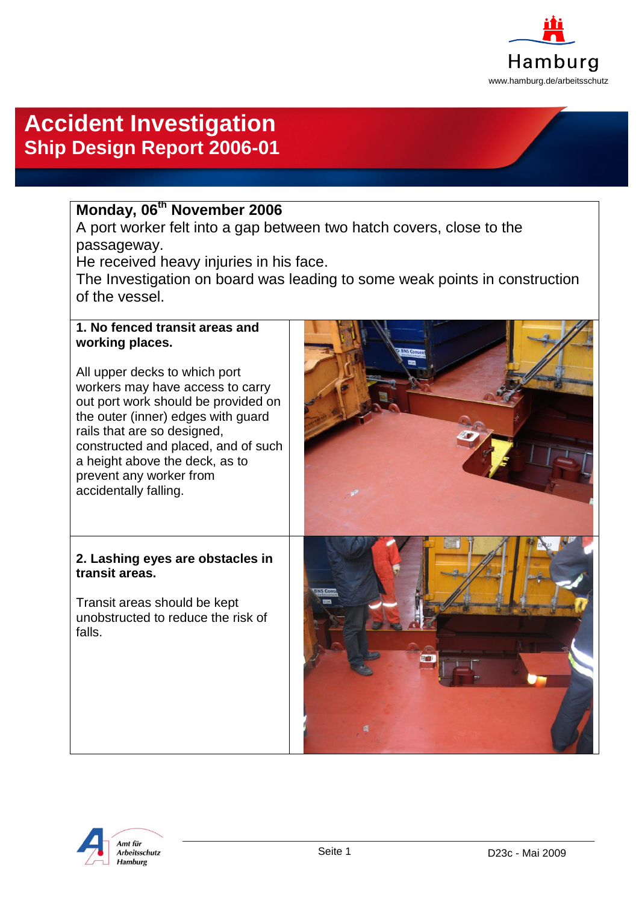

# **Accident Investigation Ship Design Report 2006-01**

## **Monday, 06th November 2006**

A port worker felt into a gap between two hatch covers, close to the passageway.

He received heavy injuries in his face.

The Investigation on board was leading to some weak points in construction of the vessel.

#### **1. No fenced transit areas and working places.**

All upper decks to which port workers may have access to carry out port work should be provided on the outer (inner) edges with guard rails that are so designed, constructed and placed, and of such a height above the deck, as to prevent any worker from accidentally falling.

### **2. Lashing eyes are obstacles in transit areas.**

Transit areas should be kept unobstructed to reduce the risk of falls.